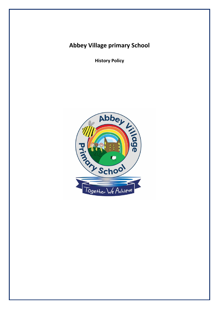# **Abbey Village primary School**

**History Policy**

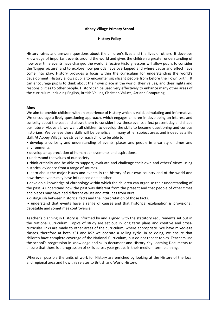## **Abbey Village Primary School**

## **History Policy**

History raises and answers questions about the children's lives and the lives of others. It develops knowledge of important events around the world and gives the children a greater understanding of how over time events have changed the world. Effective History lessons will allow pupils to consider the 'bigger picture' and to explore how periods have overlapped and where cause and effect have come into play. History provides a focus within the curriculum for understanding the world's development. History allows pupils to encounter significant people from before their own birth. It can encourage pupils to think about their own place in the world, their values, and their rights and responsibilities to other people. History can be used very effectively to enhance many other areas of the curriculum including English, British Values, Christian Values, Art and Computing.

### **Aims**

We aim to provide children with an experience of History which is valid, stimulating and informative. We encourage a lively questioning approach, which engages children in developing an interest and curiosity about the past and allows them to consider how these events affect present day and shape our future. Above all, we want all children to develop the skills to become questioning and curious historians. We believe these skills will be beneficial in many other subject areas and indeed as a life skill. At Abbey Village, we strive for each child to be able to:

• develop a curiosity and understanding of events, places and people in a variety of times and environments.

• develop an appreciation of human achievements and aspirations.

• understand the values of our society.

• think critically and be able to support, evaluate and challenge their own and others' views using historical evidence from a range of sources.

• learn about the major issues and events in the history of our own country and of the world and how these events may have influenced one another.

• develop a knowledge of chronology within which the children can organise their understanding of the past. • understand how the past was different from the present and that people of other times and places may have had different values and attitudes from ours.

• distinguish between historical facts and the interpretation of those facts.

• understand that events have a range of causes and that historical explanation is provisional, debatable and sometimes controversial.

Teacher's planning in History is informed by and aligned with the statutory requirements set out in the National Curriculum. Topics of study are set out in long term plans and creative and crosscurricular links are made to other areas of the curriculum, where appropriate. We have mixed-age classes, therefore at both KS1 and KS2 we operate a rolling cycle. In so doing, we ensure that children have complete coverage of the National Curriculum, but do not repeat topics. Teachers use the school's progression in knowledge and skills document and History Key Learning Documents to ensure that there is a progression of skills across year groups in their medium term planning.

Wherever possible the units of work for History are enriched by looking at the History of the local and regional area and how this relates to British and World History.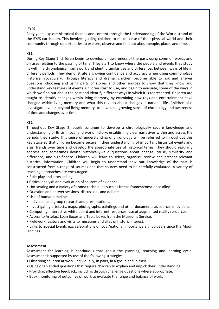# **EYFS**

Early years explore historical themes and content through the Understanding of the World strand of the EYFS curriculum. This involves guiding children to make sense of their physical world and their community through opportunities to explore, observe and find out about people, places and time.

## **KS1**

During Key Stage 1, children begin to develop an awareness of the past, using common words and phrases relating to the passing of time. They start to know where the people and events they study fit within a chronological framework and identify similarities and differences between ways of life in different periods. They demonstrate a growing confidence and accuracy when using commonplace historical vocabulary. Through literacy and drama, children become able to ask and answer questions, choosing and using parts of stories and other sources to show that they know and understand key features of events. Children start to use, and begin to evaluate, some of the ways in which we find out about the past and identify different ways in which it is represented. Children are taught to identify changes within living memory, by examining how toys and entertainment have changed within living memory and what this reveals about changes in national life. Children also investigate events beyond living memory, to develop a growing sense of chronology and awareness of time and changes over time.

# **KS2**

Throughout Key Stage 2, pupils continue to develop a chronologically secure knowledge and understanding of British, local and world history, establishing clear narratives within and across the periods they study. This sense of understanding of chronology will be referred to throughout this Key Stage so that children become secure in their understanding of important historical events and eras, trends over time and develop the appropriate use of historical terms. They should regularly address and sometimes devise historically-valid questions about change, cause, similarity and difference, and significance. Children will learn to select, organise, review and present relevant historical information. Children will begin to understand how our knowledge of the past is constructed from a range of sources and that sources need to be carefully evaluated. A variety of teaching approaches are encouraged:

- Role-play and story-telling.
- Critical analysis and evaluation of sources of evidence.
- Hot seating and a variety of drama techniques such as freeze frames/conscience alley
- Question and answer sessions, discussions and debates
- Use of human timelines.
- Individual and group research and presentations.
- Investigating artefacts, maps, photographs, paintings and other documents as sources of evidence.
- Computing- interactive white board and internet resources, use of augmented reality resources.
- Access to Artefact Loan Boxes and Topic boxes from the Museums Service.
- Fieldwork, visitors and visits to museums and sites of historic interest.

• Links to Special Events e.g. celebrations of local/national importance e.g. 50 years since the Moon landings

### **Assessment**

Assessment for learning is continuous throughout the planning, teaching and learning cycle. Assessment is supported by use of the following strategies:

- Observing children at work, individually, in pairs, in a group and in class.
- Using open ended questions that require children to explain and unpick their understanding.
- Providing effective feedback, including through challenge questions where appropriate.
- Book monitoring of outcomes of work to evaluate the range and balance of work.